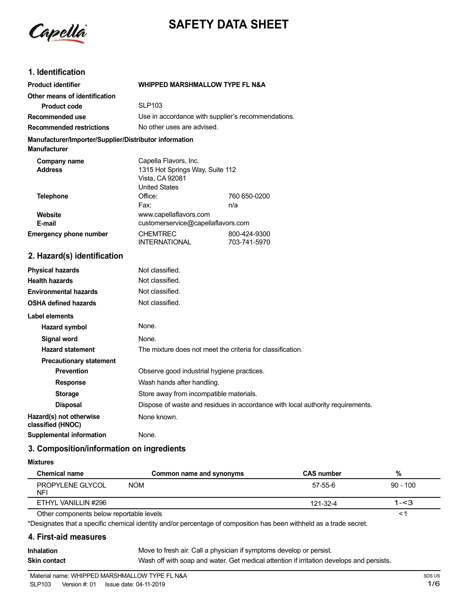

# **SAFETY DATA SHEET**

# **1. Identification**

| <b>Product identifier</b>                                                     | <b>WHIPPED MARSHMALLOW TYPE FL N&amp;A</b>                                                          |                              |
|-------------------------------------------------------------------------------|-----------------------------------------------------------------------------------------------------|------------------------------|
| Other means of identification                                                 |                                                                                                     |                              |
| <b>Product code</b>                                                           | <b>SLP103</b>                                                                                       |                              |
| Recommended use                                                               | Use in accordance with supplier's recommendations.                                                  |                              |
| <b>Recommended restrictions</b>                                               | No other uses are advised.                                                                          |                              |
| Manufacturer/Importer/Supplier/Distributor information<br><b>Manufacturer</b> |                                                                                                     |                              |
| Company name<br><b>Address</b>                                                | Capella Flavors, Inc.<br>1315 Hot Springs Way, Suite 112<br>Vista, CA 92081<br><b>United States</b> |                              |
| <b>Telephone</b>                                                              | Office:<br>Fax:                                                                                     | 760 650-0200<br>n/a          |
| <b>Website</b><br>E-mail                                                      | www.capellaflavors.com<br>customerservice@capellaflavors.com                                        |                              |
| <b>Emergency phone number</b>                                                 | <b>CHEMTREC</b><br><b>INTERNATIONAL</b>                                                             | 800-424-9300<br>703-741-5970 |
| 2. Hazard(s) identification                                                   |                                                                                                     |                              |
| <b>Physical hazards</b>                                                       | Not classified.                                                                                     |                              |
| <b>Health hazards</b>                                                         | Not classified.                                                                                     |                              |
| <b>Environmental hazards</b>                                                  | Not classified.                                                                                     |                              |
| <b>OSHA defined hazards</b>                                                   | Not classified.                                                                                     |                              |
| <b>Label elements</b>                                                         |                                                                                                     |                              |
| <b>Hazard symbol</b>                                                          | None.                                                                                               |                              |
| <b>Signal word</b>                                                            | None.                                                                                               |                              |
| Hazard etatomont                                                              | The mixture does not meet the criteria for closeification                                           |                              |

| Label elements                               |                                                                                |  |
|----------------------------------------------|--------------------------------------------------------------------------------|--|
| Hazard symbol                                | None.                                                                          |  |
| Signal word                                  | None.                                                                          |  |
| <b>Hazard statement</b>                      | The mixture does not meet the criteria for classification.                     |  |
| <b>Precautionary statement</b>               |                                                                                |  |
| <b>Prevention</b>                            | Observe good industrial hygiene practices.                                     |  |
| <b>Response</b>                              | Wash hands after handling.                                                     |  |
| <b>Storage</b>                               | Store away from incompatible materials.                                        |  |
| <b>Disposal</b>                              | Dispose of waste and residues in accordance with local authority requirements. |  |
| Hazard(s) not otherwise<br>classified (HNOC) | None known.                                                                    |  |
| Supplemental information                     | None.                                                                          |  |

### **3. Composition/information on ingredients**

#### **Mixtures**

| <b>Chemical name</b>                     | Common name and synonyms | <b>CAS number</b> | %          |
|------------------------------------------|--------------------------|-------------------|------------|
| PROPYLENE GLYCOL<br><b>NFI</b>           | <b>NOM</b>               | 57-55-6           | $90 - 100$ |
| ETHYL VANILLIN #296                      |                          | 121-32-4          | $1 - 3$    |
| Other components below reportable levels |                          |                   |            |

Other components below reportable levels

\*Designates that a specific chemical identity and/or percentage of composition has been withheld as a trade secret.

#### **4. First-aid measures**

| <b>Inhalation</b> | Move to fresh air. Call a physician if symptoms develop or persist.                      |
|-------------------|------------------------------------------------------------------------------------------|
| Skin contact      | Wash off with soap and water. Get medical attention if irritation develops and persists. |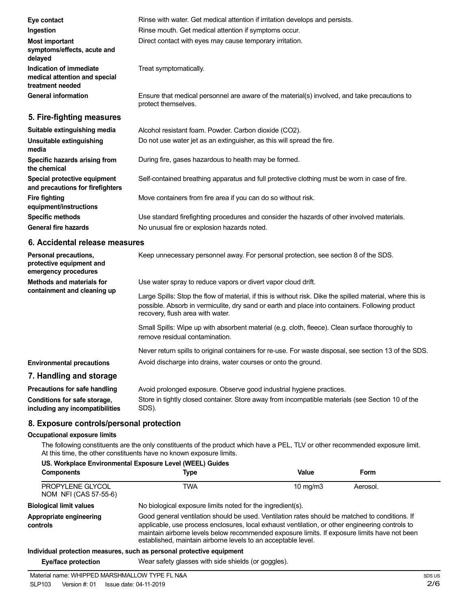| Eye contact                                                                  | Rinse with water. Get medical attention if irritation develops and persists.                                        |  |
|------------------------------------------------------------------------------|---------------------------------------------------------------------------------------------------------------------|--|
| Ingestion                                                                    | Rinse mouth. Get medical attention if symptoms occur.                                                               |  |
| <b>Most important</b><br>symptoms/effects, acute and<br>delayed              | Direct contact with eyes may cause temporary irritation.                                                            |  |
| Indication of immediate<br>medical attention and special<br>treatment needed | Treat symptomatically.                                                                                              |  |
| <b>General information</b>                                                   | Ensure that medical personnel are aware of the material(s) involved, and take precautions to<br>protect themselves. |  |
| 5. Fire-fighting measures                                                    |                                                                                                                     |  |
| Suitable extinguishing media                                                 | Alcohol resistant foam. Powder. Carbon dioxide (CO2).                                                               |  |
| Unsuitable extinguishing<br>media                                            | Do not use water jet as an extinguisher, as this will spread the fire.                                              |  |
| Specific hazards arising from<br>the chemical                                | During fire, gases hazardous to health may be formed.                                                               |  |
| Special protective equipment<br>and precautions for firefighters             | Self-contained breathing apparatus and full protective clothing must be worn in case of fire.                       |  |
| Fire fighting<br>equipment/instructions                                      | Move containers from fire area if you can do so without risk.                                                       |  |
| <b>Specific methods</b>                                                      | Use standard firefighting procedures and consider the hazards of other involved materials.                          |  |
| General fire hazards                                                         | No unusual fire or explosion hazards noted.                                                                         |  |

#### **6. Accidental release measures**

| Personal precautions,<br>protective equipment and<br>emergency procedures | Keep unnecessary personnel away. For personal protection, see section 8 of the SDS.                                                                                                                                                               |  |
|---------------------------------------------------------------------------|---------------------------------------------------------------------------------------------------------------------------------------------------------------------------------------------------------------------------------------------------|--|
| Methods and materials for<br>containment and cleaning up                  | Use water spray to reduce vapors or divert vapor cloud drift.                                                                                                                                                                                     |  |
|                                                                           | Large Spills: Stop the flow of material, if this is without risk. Dike the spilled material, where this is<br>possible. Absorb in vermiculite, dry sand or earth and place into containers. Following product<br>recovery, flush area with water. |  |
|                                                                           | Small Spills: Wipe up with absorbent material (e.g. cloth, fleece). Clean surface thoroughly to<br>remove residual contamination.                                                                                                                 |  |
|                                                                           | Never return spills to original containers for re-use. For waste disposal, see section 13 of the SDS.                                                                                                                                             |  |
| <b>Environmental precautions</b>                                          | Avoid discharge into drains, water courses or onto the ground.                                                                                                                                                                                    |  |
| 7. Handling and storage                                                   |                                                                                                                                                                                                                                                   |  |
| Precautions for safe handling                                             | Avoid prolonged exposure. Observe good industrial hygiene practices.                                                                                                                                                                              |  |
|                                                                           | Otrar la Babili, christianista en Otrar consolaran la crana Bible acctedele (com Omethia 40 of the                                                                                                                                                |  |

**Conditions for safe storage, including any incompatibilities** Store in tightly closed container. Store away from incompatible materials (see Section 10 of the SDS).

## **8. Exposure controls/personal protection**

### **Occupational exposure limits**

The following constituents are the only constituents of the product which have a PEL, TLV or other recommended exposure limit. At this time, the other constituents have no known exposure limits.

| <b>Components</b>                         | US. Workplace Environmental Exposure Level (WEEL) Guides<br>Type                                                                                                                                                                                                                                                                                                   | Value             | Form     |
|-------------------------------------------|--------------------------------------------------------------------------------------------------------------------------------------------------------------------------------------------------------------------------------------------------------------------------------------------------------------------------------------------------------------------|-------------------|----------|
| PROPYLENE GLYCOL<br>NOM NFI (CAS 57-55-6) | TWA                                                                                                                                                                                                                                                                                                                                                                | $10 \text{ mg/m}$ | Aerosol. |
| <b>Biological limit values</b>            | No biological exposure limits noted for the ingredient(s).                                                                                                                                                                                                                                                                                                         |                   |          |
| Appropriate engineering<br>controls       | Good general ventilation should be used. Ventilation rates should be matched to conditions. If<br>applicable, use process enclosures, local exhaust ventilation, or other engineering controls to<br>maintain airborne levels below recommended exposure limits. If exposure limits have not been<br>established, maintain airborne levels to an acceptable level. |                   |          |
|                                           | Individual protection measures, such as personal protective equipment                                                                                                                                                                                                                                                                                              |                   |          |

#### **Individual protection measures, such as personal protective equipment**

**Eye/face protection** Wear safety glasses with side shields (or goggles).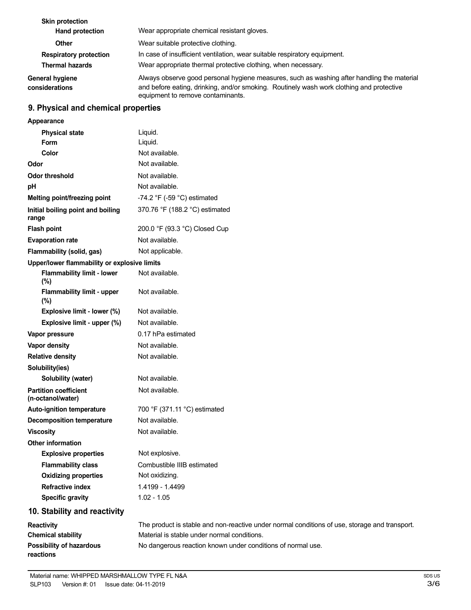| <b>Skin protection</b><br><b>Hand protection</b> | Wear appropriate chemical resistant gloves.                                                                                                                                                                                 |
|--------------------------------------------------|-----------------------------------------------------------------------------------------------------------------------------------------------------------------------------------------------------------------------------|
| Other                                            | Wear suitable protective clothing.                                                                                                                                                                                          |
| <b>Respiratory protection</b>                    | In case of insufficient ventilation, wear suitable respiratory equipment.                                                                                                                                                   |
| <b>Thermal hazards</b>                           | Wear appropriate thermal protective clothing, when necessary.                                                                                                                                                               |
| <b>General hygiene</b><br>considerations         | Always observe good personal hygiene measures, such as washing after handling the material<br>and before eating, drinking, and/or smoking. Routinely wash work clothing and protective<br>equipment to remove contaminants. |

# **9. Physical and chemical properties**

| <b>Appearance</b>                                 |                                                                                |  |  |
|---------------------------------------------------|--------------------------------------------------------------------------------|--|--|
| <b>Physical state</b>                             | Liquid.                                                                        |  |  |
| Form                                              | Liquid.                                                                        |  |  |
| Color                                             | Not available.                                                                 |  |  |
| Odor                                              | Not available.                                                                 |  |  |
| <b>Odor threshold</b>                             | Not available.                                                                 |  |  |
| рH                                                | Not available.                                                                 |  |  |
| Melting point/freezing point                      | -74.2 °F (-59 °C) estimated                                                    |  |  |
| Initial boiling point and boiling<br>range        | 370.76 °F (188.2 °C) estimated                                                 |  |  |
| <b>Flash point</b>                                | 200.0 °F (93.3 °C) Closed Cup                                                  |  |  |
| <b>Evaporation rate</b>                           | Not available.                                                                 |  |  |
| Flammability (solid, gas)                         | Not applicable.                                                                |  |  |
| Upper/lower flammability or explosive limits      |                                                                                |  |  |
| <b>Flammability limit - lower</b><br>$(\%)$       | Not available.                                                                 |  |  |
| <b>Flammability limit - upper</b><br>$(\%)$       | Not available.                                                                 |  |  |
| Explosive limit - lower (%)                       | Not available.                                                                 |  |  |
| Explosive limit - upper (%)                       | Not available.                                                                 |  |  |
| Vapor pressure                                    | 0.17 hPa estimated                                                             |  |  |
| <b>Vapor density</b>                              | Not available.                                                                 |  |  |
| <b>Relative density</b>                           | Not available.                                                                 |  |  |
| Solubility(ies)                                   |                                                                                |  |  |
| Solubility (water)                                | Not available.                                                                 |  |  |
| <b>Partition coefficient</b><br>(n-octanol/water) | Not available.                                                                 |  |  |
| <b>Auto-ignition temperature</b>                  | 700 °F (371.11 °C) estimated                                                   |  |  |
| <b>Decomposition temperature</b>                  | Not available.                                                                 |  |  |
| <b>Viscosity</b>                                  | Not available.                                                                 |  |  |
| Other information                                 |                                                                                |  |  |
| <b>Explosive properties</b>                       | Not explosive.                                                                 |  |  |
| <b>Flammability class</b>                         | Combustible IIIB estimated                                                     |  |  |
| <b>Oxidizing properties</b>                       | Not oxidizing.                                                                 |  |  |
| <b>Refractive index</b>                           | 1.4199 - 1.4499                                                                |  |  |
| <b>Specific gravity</b>                           | $1.02 - 1.05$                                                                  |  |  |
| 10. Stability and reactivity                      |                                                                                |  |  |
| <b>Reactivity</b>                                 | The product is stable and non-reactive under normal conditions of use, storage |  |  |

| <b>Reactivity</b>         | The product is stable and non-reactive under normal conditions of use, storage and transport. |
|---------------------------|-----------------------------------------------------------------------------------------------|
| <b>Chemical stability</b> | Material is stable under normal conditions.                                                   |
| Possibility of hazardous  | No dangerous reaction known under conditions of normal use.                                   |
| reactions                 |                                                                                               |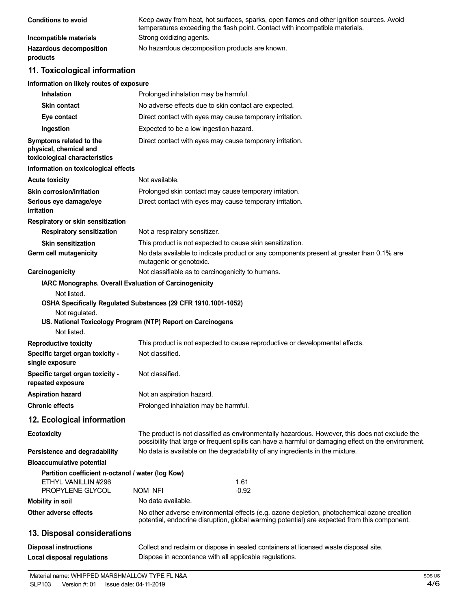| <b>Conditions to avoid</b>                 | Keep away from heat, hot surfaces, sparks, open flames and other ignition sources. Avoid<br>temperatures exceeding the flash point. Contact with incompatible materials. |
|--------------------------------------------|--------------------------------------------------------------------------------------------------------------------------------------------------------------------------|
| Incompatible materials                     | Strong oxidizing agents.                                                                                                                                                 |
| <b>Hazardous decomposition</b><br>products | No hazardous decomposition products are known.                                                                                                                           |

# **11. Toxicological information**

#### **Information on likely routes of exposure**

| <b>Inhalation</b>                                                                                                                                              |                                                                                                                                                                                                       | Prolonged inhalation may be harmful.                                                     |  |
|----------------------------------------------------------------------------------------------------------------------------------------------------------------|-------------------------------------------------------------------------------------------------------------------------------------------------------------------------------------------------------|------------------------------------------------------------------------------------------|--|
| <b>Skin contact</b>                                                                                                                                            | No adverse effects due to skin contact are expected.                                                                                                                                                  |                                                                                          |  |
| Eye contact                                                                                                                                                    | Direct contact with eyes may cause temporary irritation.                                                                                                                                              |                                                                                          |  |
| Ingestion                                                                                                                                                      | Expected to be a low ingestion hazard.                                                                                                                                                                |                                                                                          |  |
| Symptoms related to the<br>physical, chemical and<br>toxicological characteristics                                                                             | Direct contact with eyes may cause temporary irritation.                                                                                                                                              |                                                                                          |  |
| Information on toxicological effects                                                                                                                           |                                                                                                                                                                                                       |                                                                                          |  |
| <b>Acute toxicity</b>                                                                                                                                          | Not available.                                                                                                                                                                                        |                                                                                          |  |
| <b>Skin corrosion/irritation</b>                                                                                                                               |                                                                                                                                                                                                       | Prolonged skin contact may cause temporary irritation.                                   |  |
| Serious eye damage/eye<br>irritation                                                                                                                           |                                                                                                                                                                                                       | Direct contact with eyes may cause temporary irritation.                                 |  |
| Respiratory or skin sensitization                                                                                                                              |                                                                                                                                                                                                       |                                                                                          |  |
| <b>Respiratory sensitization</b>                                                                                                                               | Not a respiratory sensitizer.                                                                                                                                                                         |                                                                                          |  |
| <b>Skin sensitization</b>                                                                                                                                      |                                                                                                                                                                                                       | This product is not expected to cause skin sensitization.                                |  |
| Germ cell mutagenicity                                                                                                                                         | mutagenic or genotoxic.                                                                                                                                                                               | No data available to indicate product or any components present at greater than 0.1% are |  |
| Carcinogenicity                                                                                                                                                |                                                                                                                                                                                                       | Not classifiable as to carcinogenicity to humans.                                        |  |
| IARC Monographs. Overall Evaluation of Carcinogenicity<br>Not listed.                                                                                          |                                                                                                                                                                                                       |                                                                                          |  |
| OSHA Specifically Regulated Substances (29 CFR 1910.1001-1052)<br>Not regulated.<br>US. National Toxicology Program (NTP) Report on Carcinogens<br>Not listed. |                                                                                                                                                                                                       |                                                                                          |  |
| <b>Reproductive toxicity</b>                                                                                                                                   |                                                                                                                                                                                                       | This product is not expected to cause reproductive or developmental effects.             |  |
| Specific target organ toxicity -<br>single exposure                                                                                                            | Not classified.                                                                                                                                                                                       |                                                                                          |  |
| Specific target organ toxicity -<br>repeated exposure                                                                                                          | Not classified.                                                                                                                                                                                       |                                                                                          |  |
| <b>Aspiration hazard</b>                                                                                                                                       | Not an aspiration hazard.                                                                                                                                                                             |                                                                                          |  |
| <b>Chronic effects</b>                                                                                                                                         | Prolonged inhalation may be harmful.                                                                                                                                                                  |                                                                                          |  |
| 12. Ecological information                                                                                                                                     |                                                                                                                                                                                                       |                                                                                          |  |
| <b>Ecotoxicity</b>                                                                                                                                             | The product is not classified as environmentally hazardous. However, this does not exclude the<br>possibility that large or frequent spills can have a harmful or damaging effect on the environment. |                                                                                          |  |
| Persistence and degradability                                                                                                                                  | No data is available on the degradability of any ingredients in the mixture.                                                                                                                          |                                                                                          |  |
| <b>Bioaccumulative potential</b>                                                                                                                               |                                                                                                                                                                                                       |                                                                                          |  |
| Partition coefficient n-octanol / water (log Kow)<br>ETHYL VANILLIN #296<br>PROPYLENE GLYCOL                                                                   | NOM NFI                                                                                                                                                                                               | 1.61<br>-0.92                                                                            |  |
| <b>Mobility in soil</b>                                                                                                                                        | No data available.                                                                                                                                                                                    |                                                                                          |  |
| Other adverse effects                                                                                                                                          | No other adverse environmental effects (e.g. ozone depletion, photochemical ozone creation<br>potential, endocrine disruption, global warming potential) are expected from this component.            |                                                                                          |  |
| 13. Disposal considerations                                                                                                                                    |                                                                                                                                                                                                       |                                                                                          |  |
| <b>Disposal instructions</b>                                                                                                                                   | Collect and reclaim or dispose in sealed containers at licensed waste disposal site.                                                                                                                  |                                                                                          |  |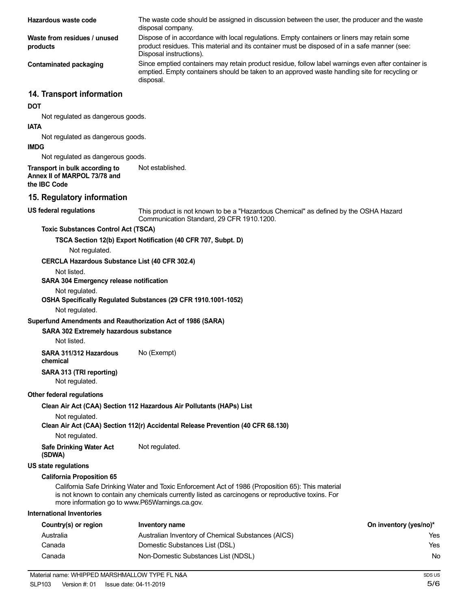| Hazardous waste code                                                           | The waste code should be assigned in discussion between the user, the producer and the waste<br>disposal company.                                                                                                      |                        |
|--------------------------------------------------------------------------------|------------------------------------------------------------------------------------------------------------------------------------------------------------------------------------------------------------------------|------------------------|
| Waste from residues / unused<br>products                                       | Dispose of in accordance with local regulations. Empty containers or liners may retain some<br>product residues. This material and its container must be disposed of in a safe manner (see:<br>Disposal instructions). |                        |
| <b>Contaminated packaging</b>                                                  | Since emptied containers may retain product residue, follow label warnings even after container is<br>emptied. Empty containers should be taken to an approved waste handling site for recycling or<br>disposal.       |                        |
| 14. Transport information                                                      |                                                                                                                                                                                                                        |                        |
| <b>DOT</b>                                                                     |                                                                                                                                                                                                                        |                        |
| Not regulated as dangerous goods.                                              |                                                                                                                                                                                                                        |                        |
| <b>IATA</b><br>Not regulated as dangerous goods.                               |                                                                                                                                                                                                                        |                        |
| <b>IMDG</b>                                                                    |                                                                                                                                                                                                                        |                        |
| Not regulated as dangerous goods.                                              |                                                                                                                                                                                                                        |                        |
| Transport in bulk according to<br>Annex II of MARPOL 73/78 and<br>the IBC Code | Not established.                                                                                                                                                                                                       |                        |
| 15. Regulatory information                                                     |                                                                                                                                                                                                                        |                        |
| <b>US federal regulations</b>                                                  | This product is not known to be a "Hazardous Chemical" as defined by the OSHA Hazard<br>Communication Standard, 29 CFR 1910.1200.                                                                                      |                        |
| <b>Toxic Substances Control Act (TSCA)</b>                                     |                                                                                                                                                                                                                        |                        |
|                                                                                | TSCA Section 12(b) Export Notification (40 CFR 707, Subpt. D)                                                                                                                                                          |                        |
| Not regulated.                                                                 |                                                                                                                                                                                                                        |                        |
| <b>CERCLA Hazardous Substance List (40 CFR 302.4)</b>                          |                                                                                                                                                                                                                        |                        |
| Not listed.                                                                    |                                                                                                                                                                                                                        |                        |
| SARA 304 Emergency release notification                                        |                                                                                                                                                                                                                        |                        |
| Not regulated.                                                                 | OSHA Specifically Regulated Substances (29 CFR 1910.1001-1052)                                                                                                                                                         |                        |
| Not regulated.                                                                 |                                                                                                                                                                                                                        |                        |
| Superfund Amendments and Reauthorization Act of 1986 (SARA)                    |                                                                                                                                                                                                                        |                        |
| SARA 302 Extremely hazardous substance<br>Not listed.                          |                                                                                                                                                                                                                        |                        |
| SARA 311/312 Hazardous                                                         |                                                                                                                                                                                                                        |                        |
| chemical                                                                       | No (Exempt)                                                                                                                                                                                                            |                        |
| SARA 313 (TRI reporting)<br>Not regulated.                                     |                                                                                                                                                                                                                        |                        |
| Other federal regulations                                                      |                                                                                                                                                                                                                        |                        |
|                                                                                | Clean Air Act (CAA) Section 112 Hazardous Air Pollutants (HAPs) List                                                                                                                                                   |                        |
| Not regulated.                                                                 |                                                                                                                                                                                                                        |                        |
| Not regulated.                                                                 | Clean Air Act (CAA) Section 112(r) Accidental Release Prevention (40 CFR 68.130)                                                                                                                                       |                        |
| <b>Safe Drinking Water Act</b>                                                 | Not regulated.                                                                                                                                                                                                         |                        |
| (SDWA)<br><b>US state regulations</b>                                          |                                                                                                                                                                                                                        |                        |
| <b>California Proposition 65</b>                                               |                                                                                                                                                                                                                        |                        |
|                                                                                | California Safe Drinking Water and Toxic Enforcement Act of 1986 (Proposition 65): This material                                                                                                                       |                        |
| more information go to www.P65Warnings.ca.gov.                                 | is not known to contain any chemicals currently listed as carcinogens or reproductive toxins. For                                                                                                                      |                        |
| <b>International Inventories</b>                                               |                                                                                                                                                                                                                        |                        |
| Country(s) or region                                                           | <b>Inventory name</b>                                                                                                                                                                                                  | On inventory (yes/no)* |
| Australia                                                                      | Australian Inventory of Chemical Substances (AICS)                                                                                                                                                                     | Yes.                   |
| Canada                                                                         | Domestic Substances List (DSL)                                                                                                                                                                                         | Yes                    |
| Canada                                                                         | Non-Domestic Substances List (NDSL)                                                                                                                                                                                    | No.                    |